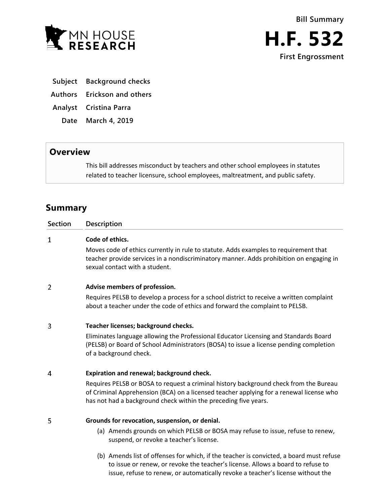

- **Subject Background checks**
- **Authors Erickson and others**
- **Analyst Cristina Parra**
	- **Date March 4, 2019**

# **Overview**

This bill addresses misconduct by teachers and other school employees in statutes related to teacher licensure, school employees, maltreatment, and public safety.

# **Summary**

| <b>Section</b> | <b>Description</b>                                                                                                                                                                                                                                  |
|----------------|-----------------------------------------------------------------------------------------------------------------------------------------------------------------------------------------------------------------------------------------------------|
| 1              | Code of ethics.                                                                                                                                                                                                                                     |
|                | Moves code of ethics currently in rule to statute. Adds examples to requirement that<br>teacher provide services in a nondiscriminatory manner. Adds prohibition on engaging in<br>sexual contact with a student.                                   |
| 2              | Advise members of profession.                                                                                                                                                                                                                       |
|                | Requires PELSB to develop a process for a school district to receive a written complaint<br>about a teacher under the code of ethics and forward the complaint to PELSB.                                                                            |
| 3              | Teacher licenses; background checks.                                                                                                                                                                                                                |
|                | Eliminates language allowing the Professional Educator Licensing and Standards Board<br>(PELSB) or Board of School Administrators (BOSA) to issue a license pending completion<br>of a background check.                                            |
| 4              | Expiration and renewal; background check.                                                                                                                                                                                                           |
|                | Requires PELSB or BOSA to request a criminal history background check from the Bureau<br>of Criminal Apprehension (BCA) on a licensed teacher applying for a renewal license who<br>has not had a background check within the preceding five years. |
| 5              | Grounds for revocation, suspension, or denial.                                                                                                                                                                                                      |
|                | (a) Amends grounds on which PELSB or BOSA may refuse to issue, refuse to renew,<br>suspend, or revoke a teacher's license.                                                                                                                          |
|                | (b) Amends list of offenses for which, if the teacher is convicted, a board must refuse<br>to issue or renew, or revoke the teacher's license. Allows a board to refuse to                                                                          |

issue, refuse to renew, or automatically revoke a teacher's license without the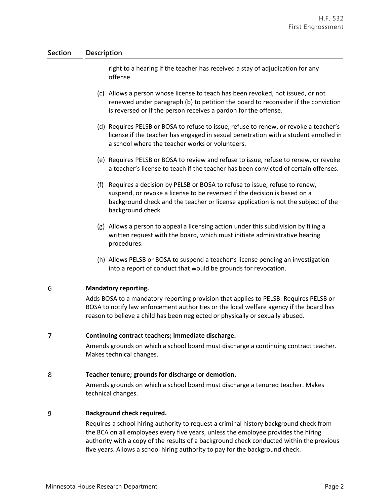## **Section Description**

right to a hearing if the teacher has received a stay of adjudication for any offense.

- (c) Allows a person whose license to teach has been revoked, not issued, or not renewed under paragraph (b) to petition the board to reconsider if the conviction is reversed or if the person receives a pardon for the offense.
- (d) Requires PELSB or BOSA to refuse to issue, refuse to renew, or revoke a teacher's license if the teacher has engaged in sexual penetration with a student enrolled in a school where the teacher works or volunteers.
- (e) Requires PELSB or BOSA to review and refuse to issue, refuse to renew, or revoke a teacher's license to teach if the teacher has been convicted of certain offenses.
- (f) Requires a decision by PELSB or BOSA to refuse to issue, refuse to renew, suspend, or revoke a license to be reversed if the decision is based on a background check and the teacher or license application is not the subject of the background check.
- (g) Allows a person to appeal a licensing action under this subdivision by filing a written request with the board, which must initiate administrative hearing procedures.
- (h) Allows PELSB or BOSA to suspend a teacher's license pending an investigation into a report of conduct that would be grounds for revocation.

#### 6 **Mandatory reporting.**

Adds BOSA to a mandatory reporting provision that applies to PELSB. Requires PELSB or BOSA to notify law enforcement authorities or the local welfare agency if the board has reason to believe a child has been neglected or physically or sexually abused.

#### $\overline{7}$ **Continuing contract teachers; immediate discharge.**

Amends grounds on which a school board must discharge a continuing contract teacher. Makes technical changes.

#### 8 **Teacher tenure; grounds for discharge or demotion.**

Amends grounds on which a school board must discharge a tenured teacher. Makes technical changes.

#### 9 **Background check required.**

Requires a school hiring authority to request a criminal history background check from the BCA on all employees every five years, unless the employee provides the hiring authority with a copy of the results of a background check conducted within the previous five years. Allows a school hiring authority to pay for the background check.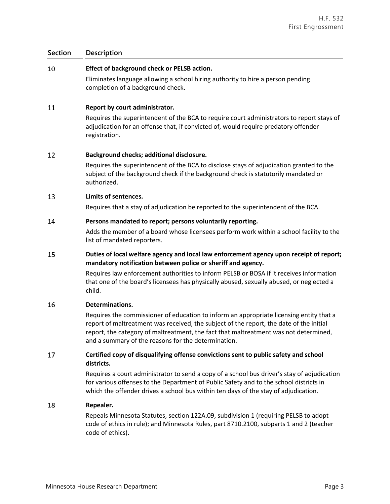## **Section Description**

#### 10 **Effect of background check or PELSB action.**

Eliminates language allowing a school hiring authority to hire a person pending completion of a background check.

#### 11 **Report by court administrator.**

Requires the superintendent of the BCA to require court administrators to report stays of adjudication for an offense that, if convicted of, would require predatory offender registration.

#### 12 **Background checks; additional disclosure.**

Requires the superintendent of the BCA to disclose stays of adjudication granted to the subject of the background check if the background check is statutorily mandated or authorized.

#### 13 **Limits of sentences.**

Requires that a stay of adjudication be reported to the superintendent of the BCA.

#### 14 **Persons mandated to report; persons voluntarily reporting.**

Adds the member of a board whose licensees perform work within a school facility to the list of mandated reporters.

### 15 **Duties of local welfare agency and local law enforcement agency upon receipt of report; mandatory notification between police or sheriff and agency.**

Requires law enforcement authorities to inform PELSB or BOSA if it receives information that one of the board's licensees has physically abused, sexually abused, or neglected a child.

#### 16 **Determinations.**

Requires the commissioner of education to inform an appropriate licensing entity that a report of maltreatment was received, the subject of the report, the date of the initial report, the category of maltreatment, the fact that maltreatment was not determined, and a summary of the reasons for the determination.

### 17 **Certified copy of disqualifying offense convictions sent to public safety and school districts.**

Requires a court administrator to send a copy of a school bus driver's stay of adjudication for various offenses to the Department of Public Safety and to the school districts in which the offender drives a school bus within ten days of the stay of adjudication.

#### 18 **Repealer.**

Repeals Minnesota Statutes, section 122A.09, subdivision 1 (requiring PELSB to adopt code of ethics in rule); and Minnesota Rules, part 8710.2100, subparts 1 and 2 (teacher code of ethics).